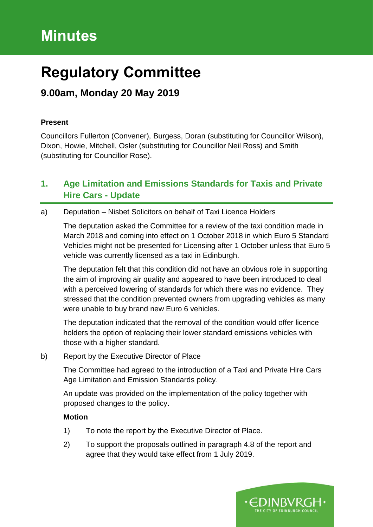# **Minutes**

# **Regulatory Committee**

## **9.00am, Monday 20 May 2019**

## **Present**

Councillors Fullerton (Convener), Burgess, Doran (substituting for Councillor Wilson), Dixon, Howie, Mitchell, Osler (substituting for Councillor Neil Ross) and Smith (substituting for Councillor Rose).

## **1. Age Limitation and Emissions Standards for Taxis and Private Hire Cars - Update**

## a) Deputation – Nisbet Solicitors on behalf of Taxi Licence Holders

The deputation asked the Committee for a review of the taxi condition made in March 2018 and coming into effect on 1 October 2018 in which Euro 5 Standard Vehicles might not be presented for Licensing after 1 October unless that Euro 5 vehicle was currently licensed as a taxi in Edinburgh.

The deputation felt that this condition did not have an obvious role in supporting the aim of improving air quality and appeared to have been introduced to deal with a perceived lowering of standards for which there was no evidence. They stressed that the condition prevented owners from upgrading vehicles as many were unable to buy brand new Euro 6 vehicles.

The deputation indicated that the removal of the condition would offer licence holders the option of replacing their lower standard emissions vehicles with those with a higher standard.

b) Report by the Executive Director of Place

The Committee had agreed to the introduction of a Taxi and Private Hire Cars Age Limitation and Emission Standards policy.

An update was provided on the implementation of the policy together with proposed changes to the policy.

## **Motion**

- 1) To note the report by the Executive Director of Place.
- 2) To support the proposals outlined in paragraph 4.8 of the report and agree that they would take effect from 1 July 2019.

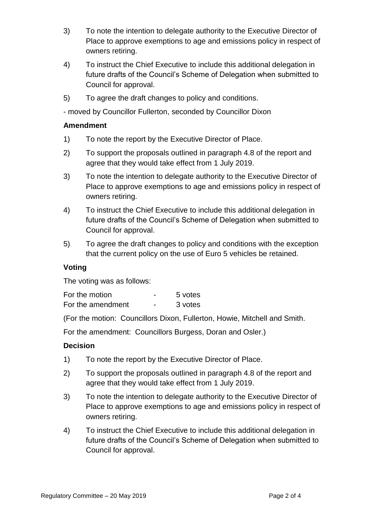- 3) To note the intention to delegate authority to the Executive Director of Place to approve exemptions to age and emissions policy in respect of owners retiring.
- 4) To instruct the Chief Executive to include this additional delegation in future drafts of the Council's Scheme of Delegation when submitted to Council for approval.
- 5) To agree the draft changes to policy and conditions.

- moved by Councillor Fullerton, seconded by Councillor Dixon

## **Amendment**

- 1) To note the report by the Executive Director of Place.
- 2) To support the proposals outlined in paragraph 4.8 of the report and agree that they would take effect from 1 July 2019.
- 3) To note the intention to delegate authority to the Executive Director of Place to approve exemptions to age and emissions policy in respect of owners retiring.
- 4) To instruct the Chief Executive to include this additional delegation in future drafts of the Council's Scheme of Delegation when submitted to Council for approval.
- 5) To agree the draft changes to policy and conditions with the exception that the current policy on the use of Euro 5 vehicles be retained.

## **Voting**

The voting was as follows:

| For the motion    | -                        | 5 votes |
|-------------------|--------------------------|---------|
| For the amendment | $\overline{\phantom{0}}$ | 3 votes |

(For the motion: Councillors Dixon, Fullerton, Howie, Mitchell and Smith.

For the amendment: Councillors Burgess, Doran and Osler.)

## **Decision**

- 1) To note the report by the Executive Director of Place.
- 2) To support the proposals outlined in paragraph 4.8 of the report and agree that they would take effect from 1 July 2019.
- 3) To note the intention to delegate authority to the Executive Director of Place to approve exemptions to age and emissions policy in respect of owners retiring.
- 4) To instruct the Chief Executive to include this additional delegation in future drafts of the Council's Scheme of Delegation when submitted to Council for approval.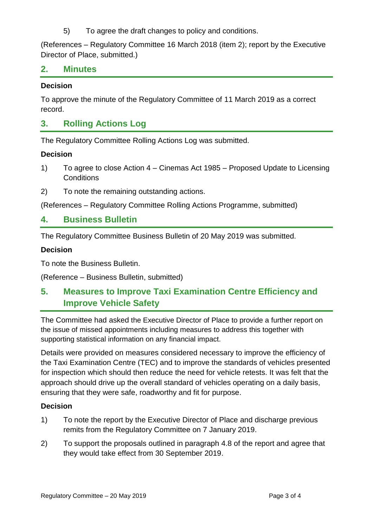5) To agree the draft changes to policy and conditions.

(References – Regulatory Committee 16 March 2018 (item 2); report by the Executive Director of Place, submitted.)

## **2. Minutes**

#### **Decision**

To approve the minute of the Regulatory Committee of 11 March 2019 as a correct record.

## **3. Rolling Actions Log**

The Regulatory Committee Rolling Actions Log was submitted.

#### **Decision**

- 1) To agree to close Action 4 Cinemas Act 1985 Proposed Update to Licensing **Conditions**
- 2) To note the remaining outstanding actions.

(References – Regulatory Committee Rolling Actions Programme, submitted)

## **4. Business Bulletin**

The Regulatory Committee Business Bulletin of 20 May 2019 was submitted.

## **Decision**

To note the Business Bulletin.

(Reference – Business Bulletin, submitted)

## **5. Measures to Improve Taxi Examination Centre Efficiency and Improve Vehicle Safety**

The Committee had asked the Executive Director of Place to provide a further report on the issue of missed appointments including measures to address this together with supporting statistical information on any financial impact.

Details were provided on measures considered necessary to improve the efficiency of the Taxi Examination Centre (TEC) and to improve the standards of vehicles presented for inspection which should then reduce the need for vehicle retests. It was felt that the approach should drive up the overall standard of vehicles operating on a daily basis, ensuring that they were safe, roadworthy and fit for purpose.

## **Decision**

- 1) To note the report by the Executive Director of Place and discharge previous remits from the Regulatory Committee on 7 January 2019.
- 2) To support the proposals outlined in paragraph 4.8 of the report and agree that they would take effect from 30 September 2019.